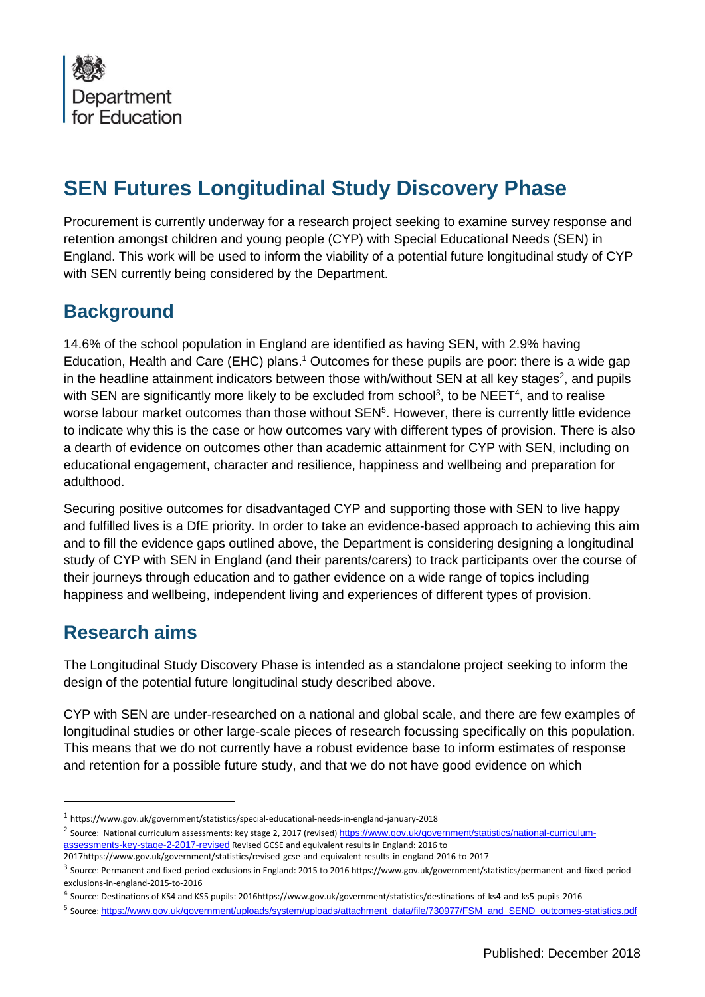

## **SEN Futures Longitudinal Study Discovery Phase**

Procurement is currently underway for a research project seeking to examine survey response and retention amongst children and young people (CYP) with Special Educational Needs (SEN) in England. This work will be used to inform the viability of a potential future longitudinal study of CYP with SEN currently being considered by the Department.

## **Background**

14.6% of the school population in England are identified as having SEN, with 2.9% having Education, Health and Care (EHC) plans. <sup>1</sup> Outcomes for these pupils are poor: there is a wide gap in the headline attainment indicators between those with/without SEN at all key stages<sup>2</sup>, and pupils with SEN are significantly more likely to be excluded from school<sup>3</sup>, to be NEET<sup>4</sup>, and to realise worse labour market outcomes than those without  $\text{SEN}^5$ . However, there is currently little evidence to indicate why this is the case or how outcomes vary with different types of provision. There is also a dearth of evidence on outcomes other than academic attainment for CYP with SEN, including on educational engagement, character and resilience, happiness and wellbeing and preparation for adulthood.

Securing positive outcomes for disadvantaged CYP and supporting those with SEN to live happy and fulfilled lives is a DfE priority. In order to take an evidence-based approach to achieving this aim and to fill the evidence gaps outlined above, the Department is considering designing a longitudinal study of CYP with SEN in England (and their parents/carers) to track participants over the course of their journeys through education and to gather evidence on a wide range of topics including happiness and wellbeing, independent living and experiences of different types of provision.

## **Research aims**

 $\overline{a}$ 

The Longitudinal Study Discovery Phase is intended as a standalone project seeking to inform the design of the potential future longitudinal study described above.

CYP with SEN are under-researched on a national and global scale, and there are few examples of longitudinal studies or other large-scale pieces of research focussing specifically on this population. This means that we do not currently have a robust evidence base to inform estimates of response and retention for a possible future study, and that we do not have good evidence on which

<sup>1</sup> https://www.gov.uk/government/statistics/special-educational-needs-in-england-january-2018

<sup>&</sup>lt;sup>2</sup> Source: National curriculum assessments: key stage 2, 2017 (revised) [https://www.gov.uk/government/statistics/national-curriculum](https://www.gov.uk/government/statistics/national-curriculum-assessments-key-stage-2-2017-revised)[assessments-key-stage-2-2017-revised](https://www.gov.uk/government/statistics/national-curriculum-assessments-key-stage-2-2017-revised) Revised GCSE and equivalent results in England: 2016 to

<sup>2017</sup>https://www.gov.uk/government/statistics/revised-gcse-and-equivalent-results-in-england-2016-to-2017

<sup>3</sup> Source: Permanent and fixed-period exclusions in England: 2015 to 2016 https://www.gov.uk/government/statistics/permanent-and-fixed-periodexclusions-in-england-2015-to-2016

<sup>4</sup> Source: Destinations of KS4 and KS5 pupils: 2016https://www.gov.uk/government/statistics/destinations-of-ks4-and-ks5-pupils-2016

<sup>5</sup> Source: [https://www.gov.uk/government/uploads/system/uploads/attachment\\_data/file/730977/FSM\\_and\\_SEND\\_outcomes-statistics.pdf](https://www.gov.uk/government/uploads/system/uploads/attachment_data/file/730977/FSM_and_SEND_outcomes-statistics.pdf)